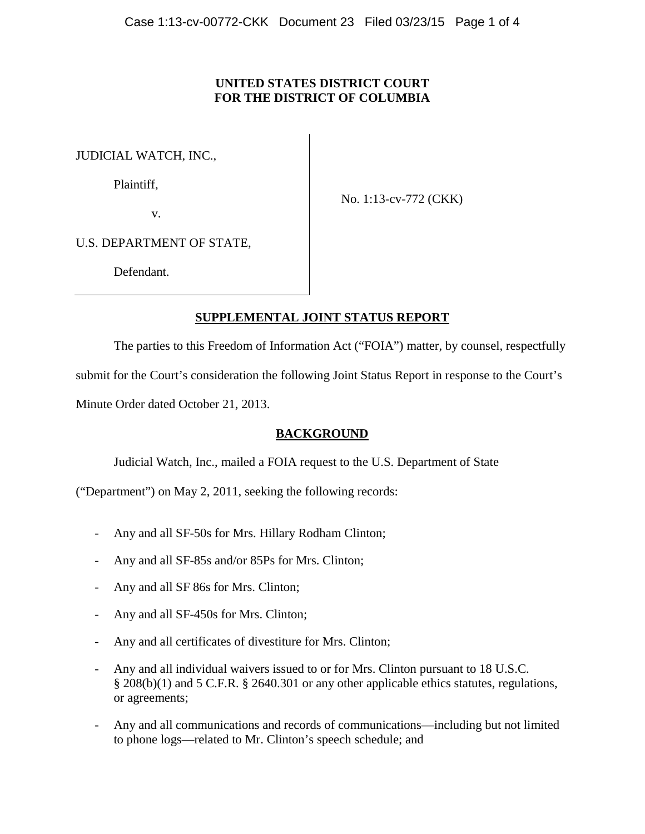## **UNITED STATES DISTRICT COURT FOR THE DISTRICT OF COLUMBIA**

JUDICIAL WATCH, INC.,

Plaintiff,

No. 1:13-cv-772 (CKK)

v.

U.S. DEPARTMENT OF STATE,

Defendant.

# **SUPPLEMENTAL JOINT STATUS REPORT**

The parties to this Freedom of Information Act ("FOIA") matter, by counsel, respectfully submit for the Court's consideration the following Joint Status Report in response to the Court's Minute Order dated October 21, 2013.

# **BACKGROUND**

Judicial Watch, Inc., mailed a FOIA request to the U.S. Department of State

("Department") on May 2, 2011, seeking the following records:

- Any and all SF-50s for Mrs. Hillary Rodham Clinton;
- Any and all SF-85s and/or 85Ps for Mrs. Clinton;
- Any and all SF 86s for Mrs. Clinton;
- Any and all SF-450s for Mrs. Clinton;
- Any and all certificates of divestiture for Mrs. Clinton;
- Any and all individual waivers issued to or for Mrs. Clinton pursuant to 18 U.S.C. § 208(b)(1) and 5 C.F.R. § 2640.301 or any other applicable ethics statutes, regulations, or agreements;
- Any and all communications and records of communications—including but not limited to phone logs—related to Mr. Clinton's speech schedule; and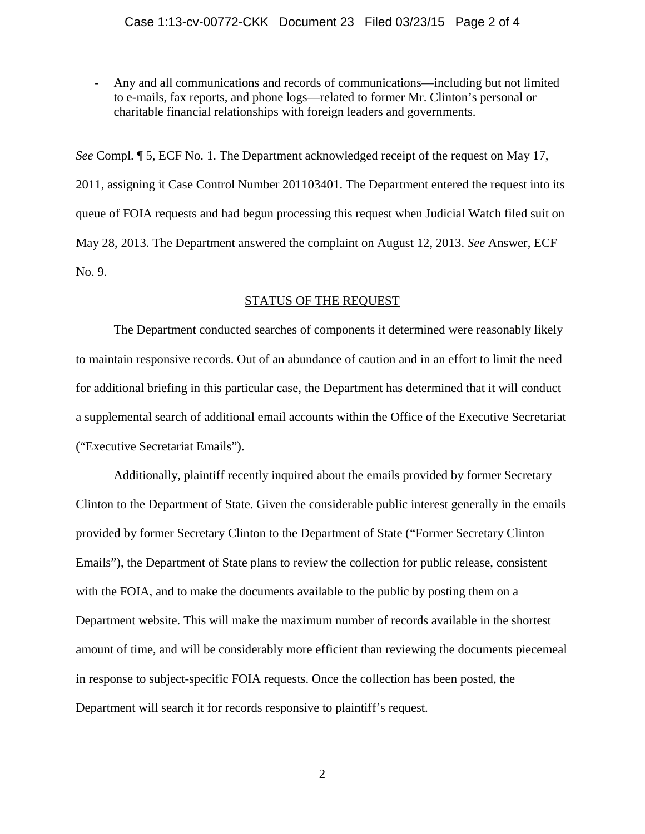- Any and all communications and records of communications—including but not limited to e-mails, fax reports, and phone logs—related to former Mr. Clinton's personal or charitable financial relationships with foreign leaders and governments.

*See* Compl. ¶ 5, ECF No. 1. The Department acknowledged receipt of the request on May 17, 2011, assigning it Case Control Number 201103401. The Department entered the request into its queue of FOIA requests and had begun processing this request when Judicial Watch filed suit on May 28, 2013. The Department answered the complaint on August 12, 2013. *See* Answer, ECF No. 9.

## STATUS OF THE REQUEST

The Department conducted searches of components it determined were reasonably likely to maintain responsive records. Out of an abundance of caution and in an effort to limit the need for additional briefing in this particular case, the Department has determined that it will conduct a supplemental search of additional email accounts within the Office of the Executive Secretariat ("Executive Secretariat Emails").

Additionally, plaintiff recently inquired about the emails provided by former Secretary Clinton to the Department of State. Given the considerable public interest generally in the emails provided by former Secretary Clinton to the Department of State ("Former Secretary Clinton Emails"), the Department of State plans to review the collection for public release, consistent with the FOIA, and to make the documents available to the public by posting them on a Department website. This will make the maximum number of records available in the shortest amount of time, and will be considerably more efficient than reviewing the documents piecemeal in response to subject-specific FOIA requests. Once the collection has been posted, the Department will search it for records responsive to plaintiff's request.

2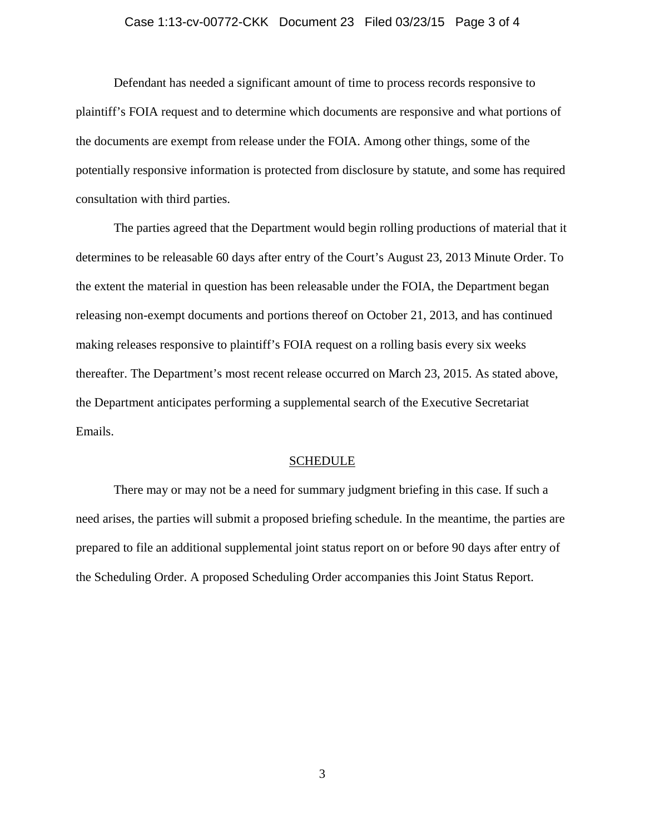### Case 1:13-cv-00772-CKK Document 23 Filed 03/23/15 Page 3 of 4

Defendant has needed a significant amount of time to process records responsive to plaintiff's FOIA request and to determine which documents are responsive and what portions of the documents are exempt from release under the FOIA. Among other things, some of the potentially responsive information is protected from disclosure by statute, and some has required consultation with third parties.

The parties agreed that the Department would begin rolling productions of material that it determines to be releasable 60 days after entry of the Court's August 23, 2013 Minute Order. To the extent the material in question has been releasable under the FOIA, the Department began releasing non-exempt documents and portions thereof on October 21, 2013, and has continued making releases responsive to plaintiff's FOIA request on a rolling basis every six weeks thereafter. The Department's most recent release occurred on March 23, 2015. As stated above, the Department anticipates performing a supplemental search of the Executive Secretariat Emails.

#### SCHEDULE

There may or may not be a need for summary judgment briefing in this case. If such a need arises, the parties will submit a proposed briefing schedule. In the meantime, the parties are prepared to file an additional supplemental joint status report on or before 90 days after entry of the Scheduling Order. A proposed Scheduling Order accompanies this Joint Status Report.

3